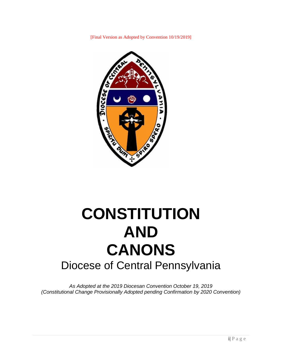[Final Version as Adopted by Convention 10/19/2019]



# **CONSTITUTION AND CANONS** Diocese of Central Pennsylvania

*As Adopted at the 2019 Diocesan Convention October 19, 2019 (Constitutional Change Provisionally Adopted pending Confirmation by 2020 Convention)*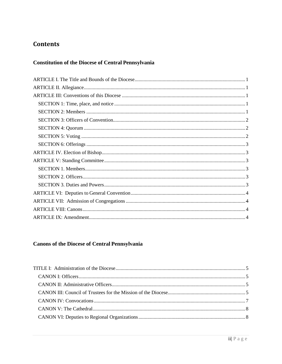# **Contents**

# **Constitution of the Diocese of Central Pennsylvania**

# **Canons of the Diocese of Central Pennsylvania**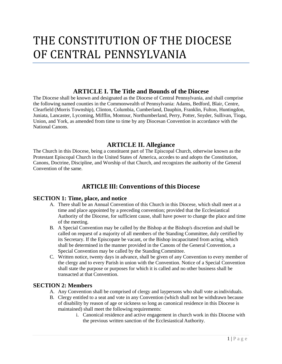# THE CONSTITUTION OF THE DIOCESE OF CENTRAL PENNSYLVANIA

# **ARTICLE I. The Title and Bounds of the Diocese**

<span id="page-3-0"></span>The Diocese shall be known and designated as the Diocese of Central Pennsylvania, and shall comprise the following named counties in the Commonwealth of Pennsylvania: Adams, Bedford, Blair, Centre, Clearfield (Morris Township), Clinton, Columbia, Cumberland, Dauphin, Franklin, Fulton, Huntingdon, Juniata, Lancaster, Lycoming, Mifflin, Montour, Northumberland, Perry, Potter, Snyder, Sullivan, Tioga, Union, and York, as amended from time to time by any Diocesan Convention in accordance with the National Canons.

# **ARTICLE II. Allegiance**

<span id="page-3-1"></span>The Church in this Diocese, being a constituent part of The Episcopal Church, otherwise known as the Protestant Episcopal Church in the United States of America, accedes to and adopts the Constitution, Canons, Doctrine, Discipline, and Worship of that Church, and recognizes the authority of the General Convention of the same.

# **ARTICLE III: Conventions of this Diocese**

## <span id="page-3-3"></span><span id="page-3-2"></span>**SECTION 1: Time, place, and notice**

- A. There shall be an Annual Convention of this Church in this Diocese, which shall meet at a time and place appointed by a preceding convention; provided that the Ecclesiastical Authority of the Diocese, for sufficient cause, shall have power to change the place and time of the meeting.
- B. A Special Convention may be called by the Bishop at the Bishop's discretion and shall be called on request of a majority of all members of the Standing Committee, duly certified by its Secretary. If the Episcopate be vacant, or the Bishop incapacitated from acting, which shall be determined in the manner provided in the Canons of the General Convention, a Special Convention may be called by the Standing Committee.
- C. Written notice, twenty days in advance, shall be given of any Convention to every member of the clergy and to every Parish in union with the Convention. Notice of a Special Convention shall state the purpose or purposes for which it is called and no other business shall be transacted at that Convention.

## <span id="page-3-4"></span>**SECTION 2: Members**

- A. Any Convention shall be comprised of clergy and laypersons who shall vote asindividuals.
- B. Clergy entitled to a seat and vote in any Convention (which shall not be withdrawn because of disability by reason of age or sickness so long as canonical residence in this Diocese is maintained) shall meet the following requirements:
	- i. Canonical residence and active engagement in church work in this Diocese with the previous written sanction of the Ecclesiastical Authority.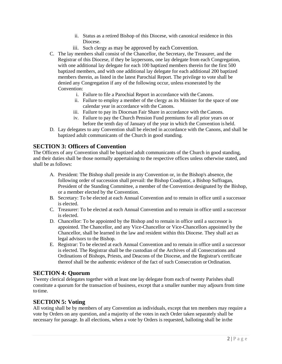- ii. Status as a retired Bishop of this Diocese, with canonical residence in this Diocese.
- iii. Such clergy as may be approved by each Convention.
- C. The lay members shall consist of the Chancellor, the Secretary, the Treasurer, and the Registrar of this Diocese, if they be laypersons, one lay delegate from each Congregation, with one additional lay delegate for each 100 baptized members therein for the first 500 baptized members, and with one additional lay delegate for each additional 200 baptized members therein, as listed in the latest Parochial Report. The privilege to vote shall be denied any Congregation if any of the following occur, unless exonerated by the Convention:
	- i. Failure to file a Parochial Report in accordance with the Canons.
	- ii. Failure to employ a member of the clergy as its Minister for the space of one calendar year in accordance with the Canons.
	- iii. Failure to pay its Diocesan Fair Share in accordance with theCanons.
	- iv. Failure to pay the Church Pension Fund premiums for all prior years on or before the tenth day of January of the year in which the Convention is held.
- D. Lay delegates to any Convention shall be elected in accordance with the Canons, and shall be baptized adult communicants of the Church in good standing.

## <span id="page-4-0"></span>**SECTION 3: Officers of Convention**

The Officers of any Convention shall be baptized adult communicants of the Church in good standing, and their duties shall be those normally appertaining to the respective offices unless otherwise stated, and shall be as follows:

- A. President: The Bishop shall preside in any Convention or, in the Bishop's absence, the following order of succession shall prevail: the Bishop Coadjutor, a Bishop Suffragan, President of the Standing Committee, a member of the Convention designated by the Bishop, or a member elected by the Convention.
- B. Secretary: To be elected at each Annual Convention and to remain in office until a successor is elected.
- C. Treasurer: To be elected at each Annual Convention and to remain in office until a successor is elected.
- D. Chancellor: To be appointed by the Bishop and to remain in office until a successor is appointed. The Chancellor, and any Vice-Chancellor or Vice-Chancellors appointed by the Chancellor, shall be learned in the law and resident within this Diocese. They shall act as legal advisors to the Bishop.
- E. Registrar: To be elected at each Annual Convention and to remain in office until a successor is elected. The Registrar shall be the custodian of the Archives of all Consecrations and Ordinations of Bishops, Priests, and Deacons of the Diocese, and the Registrar's certificate thereof shall be the authentic evidence of the fact of such Consecration or Ordination.

## <span id="page-4-1"></span>**SECTION 4: Quorum**

Twenty clerical delegates together with at least one lay delegate from each of twenty Parishes shall constitute a quorum for the transaction of business, except that a smaller number may adjourn from time to time.

## <span id="page-4-2"></span>**SECTION 5: Voting**

All voting shall be by members of any Convention as individuals, except that ten members may require a vote by Orders on any question, and a majority of the votes in each Order taken separately shall be necessary for passage. In all elections, when a vote by Orders is requested, balloting shall be inthe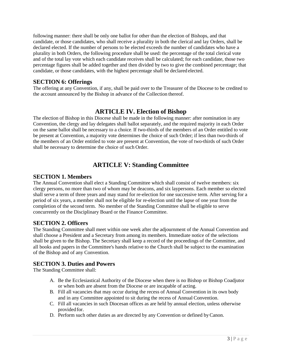following manner: there shall be only one ballot for other than the election of Bishops, and that candidate, or those candidates, who shall receive a plurality in both the clerical and lay Orders, shall be declared elected. If the number of persons to be elected exceeds the number of candidates who have a plurality in both Orders, the following procedure shall be used: the percentage of the total clerical vote and of the total lay vote which each candidate receives shall be calculated; for each candidate, those two percentage figures shall be added together and then divided by two to give the combined percentage; that candidate, or those candidates, with the highest percentage shall be declared elected.

## <span id="page-5-0"></span>**SECTION 6: Offerings**

The offering at any Convention, if any, shall be paid over to the Treasurer of the Diocese to be credited to the account announced by the Bishop in advance of the Collection thereof.

# **ARTICLE IV. Election of Bishop**

<span id="page-5-1"></span>The election of Bishop in this Diocese shall be made in the following manner: after nomination in any Convention, the clergy and lay delegates shall ballot separately, and the required majority in each Order on the same ballot shall be necessary to a choice. If two-thirds of the members of an Order entitled to vote be present at Convention, a majority vote determines the choice of such Order; if less than two-thirds of the members of an Order entitled to vote are present at Convention, the vote of two-thirds of such Order shall be necessary to determine the choice of such Order.

# **ARTICLE V: Standing Committee**

## <span id="page-5-3"></span><span id="page-5-2"></span>**SECTION 1. Members**

The Annual Convention shall elect a Standing Committee which shall consist of twelve members: six clergy persons, no more than two of whom may be deacons, and six laypersons. Each member so elected shall serve a term of three years and may stand for re-election for one successive term. After serving for a period of six years, a member shall not be eligible for re-election until the lapse of one year from the completion of the second term. No member of the Standing Committee shall be eligible to serve concurrently on the Disciplinary Board or the Finance Committee.

## <span id="page-5-4"></span>**SECTION 2. Officers**

The Standing Committee shall meet within one week after the adjournment of the Annual Convention and shall choose a President and a Secretary from among its members. Immediate notice of the selections shall be given to the Bishop. The Secretary shall keep a record of the proceedings of the Committee, and all books and papers in the Committee's hands relative to the Church shall be subject to the examination of the Bishop and of any Convention.

## <span id="page-5-5"></span>**SECTION 3. Duties and Powers**

The Standing Committee shall:

- A. Be the Ecclesiastical Authority of the Diocese when there is no Bishop or Bishop Coadjutor or when both are absent from the Diocese or are incapable of acting.
- B. Fill all vacancies that may occur during the recess of Annual Convention in its own body and in any Committee appointed to sit during the recess of Annual Convention.
- C. Fill all vacancies in such Diocesan offices as are held by annual election, unless otherwise provided for.
- D. Perform such other duties as are directed by any Convention or defined byCanon.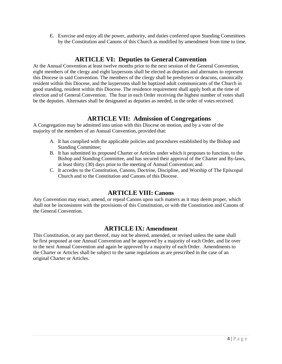E. Exercise and enjoy all the power, authority, and duties conferred upon Standing Committees by the Constitution and Canons of this Church as modified by amendment from time to time.

# **ARTICLE VI: Deputies to General Convention**

<span id="page-6-0"></span>At the Annual Convention at least twelve months prior to the next session of the General Convention, eight members of the clergy and eight laypersons shall be elected as deputies and alternates to represent this Diocese in said Convention. The members of the clergy shall be presbyters or deacons, canonically resident within this Diocese, and the laypersons shall be baptized adult communicants of the Church in good standing, resident within this Diocese. The residence requirement shall apply both at the time of election and of General Convention. The four in each Order receiving the highest number of votes shall be the deputies. Alternates shall be designated as deputies as needed, in the order of votes received.

# **ARTICLE VII: Admission of Congregations**

<span id="page-6-1"></span>A Congregation may be admitted into union with this Diocese on motion, and by a vote of the majority of the members of an Annual Convention, provided that:

- A. It has complied with the applicable policies and procedures established by the Bishop and Standing Committee;
- B. It has submitted its proposed Charter or Articles under which it proposes to function, to the Bishop and Standing Committee, and has secured their approval of the Charter and By-laws, at least thirty (30) days prior to the meeting of Annual Convention; and
- C. It accedes to the Constitution, Canons, Doctrine, Discipline, and Worship of The Episcopal Church and to the Constitution and Canons of this Diocese.

# **ARTICLE VIII: Canons**

<span id="page-6-2"></span>Any Convention may enact, amend, or repeal Canons upon such matters as it may deem proper, which shall not be inconsistent with the provisions of this Constitution, or with the Constitution and Canons of the General Convention.

# **ARTICLE IX: Amendment**

<span id="page-6-3"></span>This Constitution, or any part thereof, may not be altered, amended, or revised unless the same shall be first proposed at one Annual Convention and be approved by a majority of each Order, and lie over to the next Annual Convention and again be approved by a majority of each Order. Amendments to the Charter or Articles shall be subject to the same regulations as are prescribed in the case of an original Charter or Articles.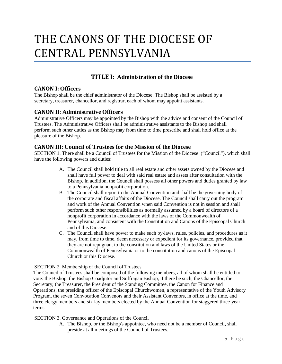# THE CANONS OF THE DIOCESE OF CENTRAL PENNSYLVANIA

# **TITLE I: Administration of the Diocese**

## <span id="page-7-1"></span><span id="page-7-0"></span>**CANON I: Officers**

The Bishop shall be the chief administrator of the Diocese. The Bishop shall be assisted by a secretary, treasurer, chancellor, and registrar, each of whom may appoint assistants.

## <span id="page-7-2"></span>**CANON II: Administrative Officers**

Administrative Officers may be appointed by the Bishop with the advice and consent of the Council of Trustees. The Administrative Officers shall be administrative assistants to the Bishop and shall perform such other duties as the Bishop may from time to time prescribe and shall hold office at the pleasure of the Bishop.

## <span id="page-7-3"></span>**CANON III: Council of Trustees for the Mission of the Diocese**

SECTION 1. There shall be a Council of Trustees for the Mission of the Diocese ("Council"), which shall have the following powers and duties:

- A. The Council shall hold title to all real estate and other assets owned by the Diocese and shall have full power to deal with said real estate and assets after consultation with the Bishop. In addition, the Council shall possess all other powers and duties granted by law to a Pennsylvania nonprofit corporation.
- B. The Council shall report to the Annual Convention and shall be the governing body of the corporate and fiscal affairs of the Diocese. The Council shall carry out the program and work of the Annual Convention when said Convention is not in session and shall perform such other responsibilities as normally assumed by a board of directors of a nonprofit corporation in accordance with the laws of the Commonwealth of Pennsylvania, and consistent with the Constitution and Canons of the Episcopal Church and of this Diocese.
- C. The Council shall have power to make such by-laws, rules, policies, and procedures as it may, from time to time, deem necessary or expedient for its governance, provided that they are not repugnant to the constitution and laws of the United States or the Commonwealth of Pennsylvania or to the constitution and canons of the Episcopal Church or this Diocese.

#### SECTION 2. Membership of the Council of Trustees

The Council of Trustees shall be composed of the following members, all of whom shall be entitled to vote: the Bishop, the Bishop Coadjutor and Suffragan Bishop, if there be such, the Chancellor, the Secretary, the Treasurer, the President of the Standing Committee, the Canon for Finance and Operations, the presiding officer of the Episcopal Churchwomen, a representative of the Youth Advisory Program, the seven Convocation Convenors and their Assistant Convenors, in office at the time, and three clergy members and six lay members elected by the Annual Convention for staggered three-year terms.

SECTION 3. Governance and Operations of the Council

A. The Bishop, or the Bishop's appointee, who need not be a member of Council, shall preside at all meetings of the Council of Trustees.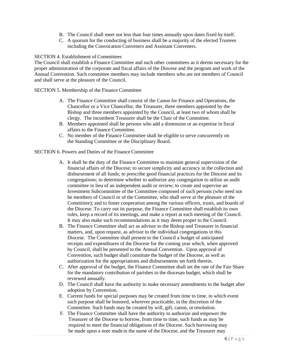- B. The Council shall meet not less than four times annually upon dates fixed by itself.
- C. A quorum for the conducting of business shall be a majority of the elected Trustees including the Convocation Conveners and Assistant Conveners.

#### SECTION 4. Establishment of Committees

The Council shall establish a Finance Committee and such other committees as it deems necessary for the proper administration of the corporate and fiscal affairs of the Diocese and the program and work of the Annual Convention. Such committee members may include members who are not members of Council and shall serve at the pleasure of the Council.

SECTION 5. Membership of the Finance Committee

- A. The Finance Committee shall consist of the Canon for Finance and Operations*,* the Chancellor or a Vice Chancellor, the Treasurer, three members appointed by the Bishop and three members appointed by the Council, at least two of whom shall be clergy. The incumbent Treasurer shall be the Chair of the Committee.
- B. Members appointed shall be persons who add a dimension or an expertise in fiscal affairs to the Finance Committee.
- C. No member of the Finance Committee shall be eligible to serve concurrently on the Standing Committee or the Disciplinary Board.

#### SECTION 6. Powers and Duties of the Finance Committee

- A. It shall be the duty of the Finance Committee to maintain general supervision of the financial affairs of the Diocese; to secure simplicity and accuracy in the collection and disbursement of all funds; to prescribe good financial practices for the Diocese and its congregations; to determine whether to authorize any congregation to utilize an audit committee in lieu of an independent audit or review; to create and supervise an Investment Subcommittee of the Committee composed of such persons (who need not be members of Council or of the Committee, who shall serve at the pleasure of the Committee); and to foster cooperation among the various officers, trusts, and boards of the Diocese. To carry out its purpose, the Finance Committee shall establish its own rules, keep a record of its meetings, and make a report at each meeting of the Council. It may also make such recommendations as it may deem proper to the Council.
- B. The Finance Committee shall act as advisor to the Bishop and Treasurer in financial matters, and, upon request, as advisor to the individual congregations in this Diocese. The Committee shall present to the Council a budget of anticipated receipts and expenditures of the Diocese for the coming year which, when approved by Council, shall be presented to the Annual Convention. Upon approval of Convention, such budget shall constitute the budget of the Diocese, as well as authorization for the appropriations and disbursements set forth therein.
- C. After approval of the budget, the Finance Committee shall set the rate of the Fair Share for the mandatory contribution of parishes to the diocesan budget, which shall be reviewed annually.
- D. The Council shall have the authority to make necessary amendments to the budget after adoption by Convention.
- E. Current funds for special purposes may be created from time to time, in which event such purpose shall be honored, wherever practicable, in the discretion of the Committee. Such funds may be created by will, gift, canon, orresolution.
- F. The Finance Committee shall have the authority to authorize and empower the Treasurer of the Diocese to borrow, from time to time, such funds as may be required to meet the financial obligations of the Diocese. Such borrowing may be made upon a note made in the name of the Diocese, and the Treasurer may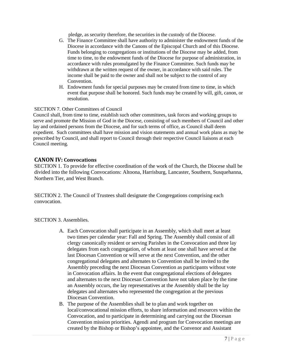pledge, as security therefore, the securities in the custody of the Diocese.

- G. The Finance Committee shall have authority to administer the endowment funds of the Diocese in accordance with the Canons of the Episcopal Church and of this Diocese. Funds belonging to congregations or institutions of the Diocese may be added, from time to time, to the endowment funds of the Diocese for purpose of administration, in accordance with rules promulgated by the Finance Committee. Such funds may be withdrawn at the written request of the owner, in accordance with said rules. The income shall be paid to the owner and shall not be subject to the control of any Convention.
- H. Endowment funds for special purposes may be created from time to time, in which event that purpose shall be honored. Such funds may be created by will, gift, canon, or resolution.

#### SECTION 7. Other Committees of Council

Council shall, from time to time, establish such other committees, task forces and working groups to serve and promote the Mission of God in the Diocese, consisting of such members of Council and other lay and ordained persons from the Diocese, and for such terms of office, as Council shall deem expedient. Such committees shall have mission and vision statements and annual work plans as may be prescribed by Council, and shall report to Council through their respective Council liaisons at each Council meeting.

#### <span id="page-9-0"></span>**CANON IV: Convocations**

SECTION 1. To provide for effective coordination of the work of the Church, the Diocese shall be divided into the following Convocations: Altoona, Harrisburg, Lancaster, Southern, Susquehanna, Northern Tier, and West Branch.

SECTION 2. The Council of Trustees shall designate the Congregations comprising each convocation.

#### SECTION 3. Assemblies.

- A. Each Convocation shall participate in an Assembly, which shall meet at least two times per calendar year: Fall and Spring. The Assembly shall consist of all clergy canonically resident or serving Parishes in the Convocation and three lay delegates from each congregation, of whom at least one shall have served at the last Diocesan Convention or will serve at the next Convention, and the other congregational delegates and alternates to Convention shall be invited to the Assembly preceding the next Diocesan Convention as participants without vote in Convocation affairs. In the event that congregational elections of delegates and alternates to the next Diocesan Convention have not taken place by the time an Assembly occurs, the lay representatives at the Assembly shall be the lay delegates and alternates who represented the congregation at the previous Diocesan Convention.
- B. The purpose of the Assemblies shall be to plan and work together on local/convocational mission efforts, to share information and resources within the Convocation, and to participate in determining and carrying out the Diocesan Convention mission priorities. Agendi and program for Convocation meetings are created by the Bishop or Bishop's appointee, and the Convenor and Assistant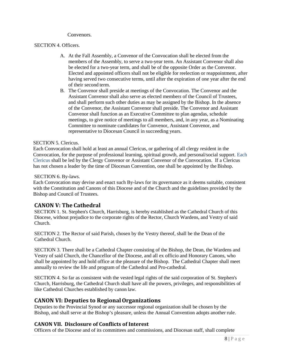#### Convenors.

#### SECTION 4. Officers.

- A. At the Fall Assembly, a Convenor of the Convocation shall be elected from the members of the Assembly, to serve a two-year term. An Assistant Convenor shall also be elected for a two-year term, and shall be of the opposite Order as the Convenor. Elected and appointed officers shall not be eligible for reelection or reappointment, after having served two consecutive terms, until after the expiration of one year after the end of their second term.
- B. The Convenor shall preside at meetings of the Convocation. The Convenor and the Assistant Convenor shall also serve as elected member*s* of the Council of Trustees, and shall perform such other duties as may be assigned by the Bishop. In the absence of the Convenor, the Assistant Convenor shall preside. The Convenor and Assistant Convenor shall function as an Executive Committee to plan agendas, schedule meetings, to give notice of meetings to all members, and, in any year, as a Nominating Committee to nominate candidates for Convenor, Assistant Convenor, and representative to Diocesan Council in succeeding years.

#### SECTION 5*.* Clericus.

Each Convocation shall hold at least an annual Clericus, or gathering of all clergy resident in the Convocation, for the purpose of professional learning, spiritual growth, and personal/social support. Each Clericus shall be led by the Clergy Convenor or Assistant Convenor of the Convocation. If a Clericus has not chosen a leader by the time of Diocesan Convention, one shall be appointed by the Bishop.

#### SECTION 6. By-laws.

Each Convocation may devise and enact such By-laws for its governance as it deems suitable, consistent with the Constitution and Canons of this Diocese and of the Church and the guidelines provided by the Bishop and Council of Trustees.

## <span id="page-10-0"></span>**CANON V: The Cathedral**

SECTION 1. St. Stephen's Church, Harrisburg, is hereby established as the Cathedral Church of this Diocese, without prejudice to the corporate rights of the Rector, Church Wardens, and Vestry of said Church.

SECTION 2. The Rector of said Parish, chosen by the Vestry thereof, shall be the Dean of the Cathedral Church.

SECTION 3. There shall be a Cathedral Chapter consisting of the Bishop, the Dean, the Wardens and Vestry of said Church, the Chancellor of the Diocese, and all ex officio and Honorary Canons, who shall be appointed by and hold office at the pleasure of the Bishop. The Cathedral Chapter shall meet annually to review the life and program of the Cathedral and Pro-cathedral.

SECTION 4. So far as consistent with the vested legal rights of the said corporation of St. Stephen's Church, Harrisburg, the Cathedral Church shall have all the powers, privileges, and responsibilities of like Cathedral Churches established by canon law.

## <span id="page-10-1"></span>**CANON VI: Deputies to RegionalOrganizations**

Deputies to the Provincial Synod or any successor regional organization shall be chosen by the Bishop, and shall serve at the Bishop's pleasure, unless the Annual Convention adopts another rule.

## **CANON VII. Disclosure of Conflicts of Interest**

Officers of the Diocese and of its committees and commissions, and Diocesan staff, shall complete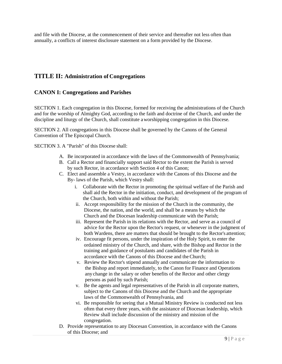and file with the Diocese, at the commencement of their service and thereafter not less often than annually, a conflicts of interest disclosure statement on a form provided by the Diocese.

# <span id="page-11-0"></span>**TITLE II: Administration of Congregations**

## **CANON I: Congregations and Parishes**

SECTION 1. Each congregation in this Diocese, formed for receiving the administrations of the Church and for the worship of Almighty God, according to the faith and doctrine of the Church, and under the discipline and liturgy of the Church, shall constitute aworshipping congregation in this Diocese*.*

SECTION 2. All congregations in this Diocese shall be governed by the Canons of the General Convention of The Episcopal Church.

SECTION 3. A "Parish" of this Diocese shall:

- A. Be incorporated in accordance with the laws of the Commonwealth of Pennsylvania;
- B. Call a Rector and financially support said Rector to the extent the Parish is served by such Rector, in accordance with Section 4 of this Canon;
- C. Elect and assemble a Vestry, in accordance with the Canons of this Diocese and the By- laws of the Parish, which Vestry shall:
	- i. Collaborate with the Rector in promoting the spiritual welfare of the Parish and shall aid the Rector in the initiation, conduct, and development of the program of the Church, both within and without the Parish;
	- ii. Accept responsibility for the mission of the Church in the community, the Diocese, the nation, and the world, and shall be a means by which the Church and the Diocesan leadership communicate with the Parish;
	- iii. Represent the Parish in its relations with the Rector, and serve as a council of advice for the Rector upon the Rector's request, or whenever in the judgment of both Wardens, there are matters that should be brought to the Rector's attention;
	- iv. Encourage fit persons, under the inspiration of the Holy Spirit, to enter the ordained ministry of the Church, and share, with the Bishop and Rector in the training and guidance of postulants and candidates of the Parish in accordance with the Canons of this Diocese and the Church;
	- v. Review the Rector's stipend annually and communicate the information to the Bishop and report immediately, to the Canon for Finance and Operations any change in the salary or other benefits of the Rector and other clergy persons as paid by such Parish;
	- v. Be the agents and legal representatives of the Parish in all corporate matters, subject to the Canons of this Diocese and the Church and the appropriate laws of the Commonwealth of Pennsylvania, and
	- vi. Be responsible for seeing that a Mutual Ministry Review is conducted not less often that every three years, with the assistance of Diocesan leadership, which Review shall include discussion of the ministry and mission of the congregation.
- D. Provide representation to any Diocesan Convention, in accordance with the Canons of this Diocese; and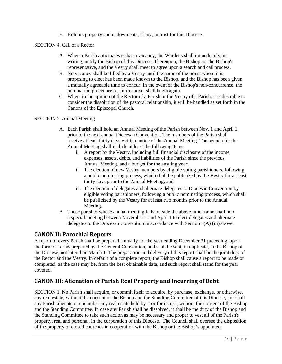E. Hold its property and endowments, if any, in trust for this Diocese.

SECTION 4. Call of a Rector

- A. When a Parish anticipates or has a vacancy, the Wardens shall immediately, in writing, notify the Bishop of this Diocese. Thereupon, the Bishop, or the Bishop's representative, and the Vestry shall meet to agree upon a search and call process.
- B. No vacancy shall be filled by a Vestry until the name of the priest whom it is proposing to elect has been made known to the Bishop, and the Bishop has been given a mutually agreeable time to concur. In the event of the Bishop's non-concurrence, the nomination procedure set forth above, shall begin again.
- C. When, in the opinion of the Rector of a Parish or the Vestry of a Parish, it is desirable to consider the dissolution of the pastoral relationship, it will be handled as set forth in the Canons of the Episcopal Church.

## SECTION 5. Annual Meeting

- A. Each Parish shall hold an Annual Meeting of the Parish between Nov. 1 and April 1, prior to the next annual Diocesan Convention. The members of the Parish shall receive at least thirty days written notice of the Annual Meeting. The agenda for the Annual Meeting shall include at least the following items:
	- i. A report by the Vestry, including full financial disclosure of the income, expenses, assets, debts, and liabilities of the Parish since the previous Annual Meeting, and a budget for the ensuing year;
	- ii. The election of new Vestry members by eligible voting parishioners, following a public nominating process, which shall be publicized by the Vestry for at least thirty days prior to the Annual Meeting; and
	- iii. The election of delegates and alternate delegates to Diocesan Convention by eligible voting parishioners, following a public nominating process, which shall be publicized by the Vestry for at least two months prior to the Annual Meeting.
- B. Those parishes whose annual meeting falls outside the above time frame shall hold a special meeting between November 1 and April 1 to elect delegates and alternate delegates to the Diocesan Convention in accordance with Section 5(A) (iii) above.

## <span id="page-12-0"></span>**CANON II: Parochial Reports**

A report of every Parish shall be prepared annually for the year ending December 31 preceding, upon the form or forms prepared by the General Convention, and shall be sent, in duplicate, to the Bishop of the Diocese, not later than March 1. The preparation and delivery of this report shall be the joint duty of the Rector and the Vestry. In default of a complete report, the Bishop shall cause a report to be made or completed, as the case may be, from the best obtainable data, and such report shall stand for the year covered.

# <span id="page-12-1"></span>**CANON III: Alienation of Parish Real Property and Incurring of Debt**

SECTION 1. No Parish shall acquire, or commit itself to acquire, by purchase, exchange, or otherwise, any real estate, without the consent of the Bishop and the Standing Committee of this Diocese, nor shall any Parish alienate or encumber any real estate held by it or for its use, without the consent of the Bishop and the Standing Committee. In case any Parish shall be dissolved, it shall be the duty of the Bishop and the Standing Committee to take such action as may be necessary and proper to vest all of the Parish's property, real and personal, in the corporation of this Diocese. The Council shall oversee the disposition of the property of closed churches in cooperation with the Bishop or the Bishop's appointee.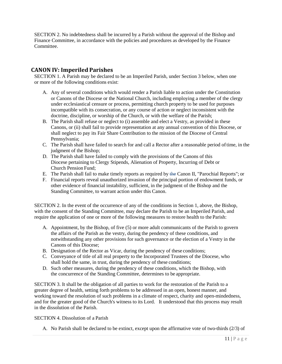SECTION 2. No indebtedness shall be incurred by a Parish without the approval of the Bishop and Finance Committee, in accordance with the policies and procedures as developed by the Finance Committee.

## <span id="page-13-0"></span>**CANON IV: Imperiled Parishes**

SECTION 1. A Parish may be declared to be an Imperiled Parish, under Section 3 below, when one or more of the following conditions exist:

- A. Any of several conditions which would render a Parish liable to action under the Constitution or Canons of the Diocese or the National Church, including employing a member of the clergy under ecclesiastical censure or process, permitting church property to be used for purposes incompatible with its consecration, or any course of action or neglect inconsistent with the doctrine, discipline, or worship of the Church, or with the welfare of the Parish;
- B. The Parish shall refuse or neglect to (i) assemble and elect a Vestry, as provided in these Canons, or (ii) shall fail to provide representation at any annual convention of this Diocese, or shall neglect to pay its Fair Share Contribution to the mission of the Diocese of Central Pennsylvania;
- C. The Parish shall have failed to search for and call a Rector after a reasonable period oftime, in the judgment of the Bishop:
- D. The Parish shall have failed to comply with the provisions of the Canons of this Diocese pertaining to Clergy Stipends, Alienation of Property, Incurring of Debt or Church Pension Fund;
- E. The Parish shall fail to make timely reports as required by the Canon II, "Parochial Reports"; or
- F. Financial reports reveal unauthorized invasion of the principal portion of endowment funds, or other evidence of financial instability, sufficient, in the judgment of the Bishop and the Standing Committee, to warrant action under this Canon.

SECTION 2. In the event of the occurrence of any of the conditions in Section 1, above, the Bishop, with the consent of the Standing Committee, may declare the Parish to be an Imperiled Parish, and require the application of one or more of the following measures to restore health to the Parish:

- A. Appointment, by the Bishop, of five (5) or more adult communicants of the Parish to govern the affairs of the Parish as the vestry, during the pendency of these conditions, and notwithstanding any other provisions for such governance or the election of a Vestry in the Canons of this Diocese;
- B. Designation of the Rector as Vicar, during the pendency of these conditions;
- C. Conveyance of title of all real property to the Incorporated Trustees of the Diocese, who shall hold the same, in trust, during the pendency of these conditions;
- D. Such other measures, during the pendency of these conditions, which the Bishop, with the concurrence of the Standing Committee, determines to be appropriate.

SECTION 3. It shall be the obligation of all parties to work for the restoration of the Parish to a greater degree of health, setting forth problems to be addressed in an open, honest manner, and working toward the resolution of such problems in a climate of respect, charity and open-mindedness, and for the greater good of the Church's witness to its Lord. It understood that this process may result in the dissolution of the Parish.

SECTION 4. Dissolution of a Parish

A. No Parish shall be declared to be extinct, except upon the affirmative vote of two-thirds (2/3) of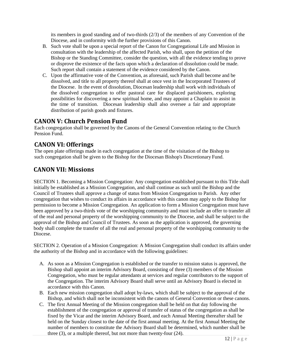its members in good standing and of two-thirds (2/3) of the members of any Convention of the Diocese, and in conformity with the further provisions of this Canon.

- B. Such vote shall be upon a special report of the Canon for Congregational Life and Mission in consultation with the leadership of the affected Parish, who shall, upon the petition of the Bishop or the Standing Committee, consider the question, with all the evidence tending to prove or disprove the existence of the facts upon which a declaration of dissolution could be made. Such report shall contain a statement of the evidence considered by the Canon.
- C. Upon the affirmative vote of the Convention, as aforesaid, such Parish shall become and be dissolved, and title to all property thereof shall at once vest in the Incorporated Trustees of the Diocese. In the event of dissolution, Diocesan leadership shall work with individuals of the dissolved congregation to offer pastoral care for displaced parishioners, exploring possibilities for discovering a new spiritual home, and may appoint a Chaplain to assist in the time of transition. Diocesan leadership shall also oversee a fair and appropriate distribution of parish goods and fixtures.

# <span id="page-14-0"></span>**CANON V: Church Pension Fund**

Each congregation shall be governed by the Canons of the General Convention relating to the Church Pension Fund.

# <span id="page-14-1"></span>**CANON VI: Offerings**

The open plate offerings made in each congregation at the time of the visitation of the Bishop to such congregation shall be given to the Bishop for the Diocesan Bishop's Discretionary Fund.

# **CANON VII: Missions**

SECTION 1. Becoming a Mission Congregation: Any congregation established pursuant to this Title shall initially be established as a Mission Congregation, and shall continue as such until the Bishop and the Council of Trustees shall approve a change of status from Mission Congregation to Parish. Any other congregation that wishes to conduct its affairs in accordance with this canon may apply to the Bishop for permission to become a Mission Congregation. An application to form a Mission Congregation must have been approved by a two-thirds vote of the worshipping community and must include an offer to transfer all of the real and personal property of the worshipping community to the Diocese, and shall be subject to the approval of the Bishop and Council of Trustees. As soon as the application is approved, the governing body shall complete the transfer of all the real and personal property of the worshipping community to the Diocese.

SECTION 2. Operation of a Mission Congregation: A Mission Congregation shall conduct its affairs under the authority of the Bishop and in accordance with the following guidelines:

- A. As soon as a Mission Congregation is established or the transfer to mission status is approved, the Bishop shall appoint an interim Advisory Board, consisting of three (3) members of the Mission Congregation, who must be regular attendants at services and regular contributors to the support of the Congregation. The interim Advisory Board shall serve until an Advisory Board is elected in accordance with this Canon.
- B. Each new mission congregation shall adopt by-laws, which shall be subject to the approval of the Bishop, and which shall not be inconsistent with the canons of General Convention or these canons.
- C. The first Annual Meeting of the Mission congregation shall be held on that day following the establishment of the congregation or approval of transfer of status of the congregation as shall be fixed by the Vicar and the interim Advisory Board, and each Annual Meeting thereafter shall be held on the Sunday closest to the date of the first annual meeting. At the first Annual Meeting the number of members to constitute the Advisory Board shall be determined, which number shall be three (3), or a multiple thereof, but not more than twenty-four (24).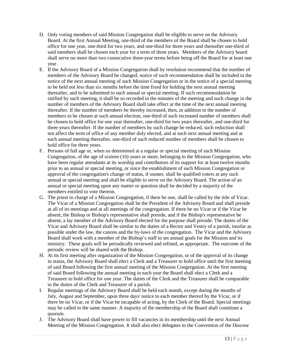- D. Only voting members of said Mission Congregation shall be eligible to serve on the Advisory Board. At the first Annual Meeting, one-third of the members of the Board shall be chosen to hold office for one year, one-third for two years, and one-third for three years and thereafter one-third of said members shall be chosen each year for a term of three years. Members of the Advisory board shall serve no more than two consecutive three-year terms before being off the Board for at least one year.
- E. If the Advisory Board of a Mission Congregation shall by resolution recommend that the number of members of the Advisory Board be changed, notice of such recommendation shall be included in the notice of the next annual meeting of such Mission Congregation or in the notice of a special meeting to be held not less than six months before the time fixed for holding the next annual meeting thereafter, and to be submitted to such annual or special meeting. If such recommendation be ratified by such meeting, it shall be so recorded in the minutes of the meeting and such change in the number of members of the Advisory Board shall take effect at the time of the next annual meeting thereafter. If the number of members be thereby increased, then, in addition to the number of members to be chosen at such annual election, one-third of such increased number of members shall be chosen to hold office for one year thereafter, one-third for two years thereafter, and one-third for three years thereafter. If the number of members by such change be reduced, such reduction shall not affect the term of office of any member duly elected, and at such next annual meeting and at each annual meeting thereafter, one-third of such reduced number of members shall be chosen to hold office for three years.
- F. Persons of full age or, when so determined at a regular or special meeting of such Mission Congregation, of the age of sixteen (16) years or more, belonging to the Mission Congregation, who have been regular attendants at its worship and contributors of its support for at least twelve months prior to an annual or special meeting, or since the establishment of such Mission Congregation or approval of the congregation's change of status, if sooner, shall be qualified voters at any such annual or special meeting and shall be eligible to serve on the Advisory Board. The action of an annual or special meeting upon any matter or question shall be decided by a majority of the members entitled to vote thereon.
- G. The priest in charge of a Mission Congregation, if there be one, shall be called by the title of Vicar. The Vicar of a Mission Congregation shall be the President of the Advisory Board and shall preside at all of its meetings and at all meetings of the congregation. If there be no Vicar or if the Vicar be absent, the Bishop or Bishop's representative shall preside, and if the Bishop's representative be absent, a lay member of the Advisory Board elected for the purpose shall preside. The duties of the Vicar and Advisory Board shall be similar to the duties of a Rector and Vestry of a parish, insofar as possible under the law, the canons and the by-laws of the congregation. The Vicar and the Advisory Board shall work with a member of the Bishop's staff to set annual goals for the Mission and its ministry. These goals will be periodically reviewed and refined, as appropriate. The outcome of the periodic review will be shared with the Bishop.
- H. At its first meeting after organization of the Mission Congregation, or of the approval of its change in status, the Advisory Board shall elect a Clerk and a Treasurer to hold office until the first meeting of said Board following the first annual meeting of the Mission Congregation. At the first meeting of said Board following the annual meeting in each year the Board shall elect a Clerk and a Treasurer to hold office for one year. The duties of the Clerk and the Treasurer shall be comparable to the duties of the Clerk and Treasurer of a parish.
- I. Regular meetings of the Advisory Board shall be held each month, except during the months of July, August and September, upon three days' notice to each member thereof by the Vicar, or if there be no Vicar, or if the Vicar be incapable of acting, by the Clerk of the Board. Special meetings may be called in the same manner. A majority of the membership of the Board shall constitute a quorum.
- J. The Advisory Board shall have power to fill vacancies in its membership until the next Annual Meeting of the Mission Congregation. It shall also elect delegates to the Convention of the Diocese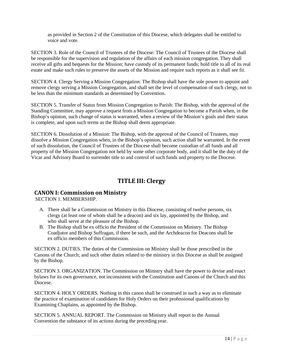as provided in Section 2 of the Constitution of this Diocese, which delegates shall be entitled to voice and vote.

SECTION 3. Role of the Council of Trustees of the Diocese: The Council of Trustees of the Diocese shall be responsible for the supervision and regulation of the affairs of each mission congregation. They shall receive all gifts and bequests for the Mission; have custody of its permanent funds; hold title to all of its real estate and make such rules to preserve the assets of the Mission and require such reports as it shall see fit.

SECTION 4. Clergy Serving a Mission Congregation: The Bishop shall have the sole power to appoint and remove clergy serving a Mission Congregation, and shall set the level of compensation of such clergy, not to be less than the minimum standards as determined by Convention.

SECTION 5. Transfer of Status from Mission Congregation to Parish: The Bishop, with the approval of the Standing Committee, may approve a request from a Mission Congregation to become a Parish when, in the Bishop's opinion, such change of status is warranted, when a review of the Mission's goals and their status is complete, and upon such terms as the Bishop shall deem appropriate.

SECTION 6. Dissolution of a Mission: The Bishop, with the approval of the Council of Trustees, may dissolve a Mission Congregation when, in the Bishop's opinion, such action shall be warranted. In the event of such dissolution, the Council of Trustees of the Diocese shall become custodian of all funds and all property of the Mission Congregation not held by some other corporate body, and it shall be the duty of the Vicar and Advisory Board to surrender title to and control of such funds and property to the Diocese.

# **TITLE III: Clergy**

## <span id="page-16-1"></span><span id="page-16-0"></span>**CANON I: Commission on Ministry**

SECTION 1. MEMBERSHIP.

- A. There shall be a Commission on Ministry in this Diocese, consisting of twelve persons, six clergy (at least one of whom shall be a deacon) and six lay, appointed by the Bishop, and who shall serve at the pleasure of the Bishop.
- B. The Bishop shall be ex officio the President of the Commission on Ministry. The Bishop Coadjutor and Bishop Suffragan, if there be such, and the Archdeacon for Deacons shall be ex officio members of this Commission.

SECTION 2. DUTIES. The duties of the Commission on Ministry shall be those prescribed in the Canons of the Church; and such other duties related to the ministry in this Diocese as shall be assigned by the Bishop.

SECTION 3. ORGANIZATION. The Commission on Ministry shall have the power to devise and enact bylaws for its own governance, not inconsistent with the Constitution and Canons of the Church and this Diocese.

SECTION 4. HOLY ORDERS. Nothing in this canon shall be construed in such a way as to eliminate the practice of examination of candidates for Holy Orders on their professional qualifications by Examining Chaplains, as appointed by the Bishop.

SECTION 5. ANNUAL REPORT. The Commission on Ministry shall report to the Annual Convention the substance of its action*s* during the preceding year.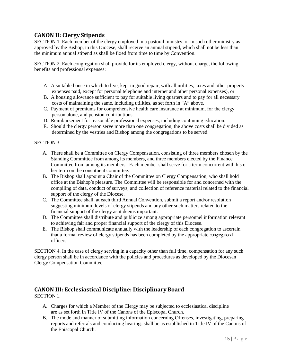# <span id="page-17-0"></span>**CANON II: Clergy Stipends**

SECTION 1. Each member of the clergy employed in a pastoral ministry, or in such other ministry as approved by the Bishop, in this Diocese, shall receive an annual stipend, which shall not be less than the minimum annual stipend as shall be fixed from time to time by Convention.

SECTION 2. Each congregation shall provide for its employed clergy, without charge, the following benefits and professional expenses:

- A. A suitable house in which to live, kept in good repair, with all utilities, taxes and other property expenses paid, except for personal telephone and internet and other personal expenses), or
- B. A housing allowance sufficient to pay for suitable living quarters and to pay for all necessary costs of maintaining the same, including utilities, as set forth in "A" above.
- C. Payment of premiums for comprehensive health care insurance at minimum, for the clergy person alone, and pension contributions.
- D. Reimbursement for reasonable professional expenses, including continuing education.
- E. Should the clergy person serve more than one congregation, the above costs shall be divided as determined by the vestries and Bishop among the congregations to be served.

#### SECTION 3.

- A. There shall be a Committee on Clergy Compensation, consisting of three members chosen by the Standing Committee from among its members, and three members elected by the Finance Committee from among its members. Each member shall serve for a term concurrent with his or her term on the constituent committee.
- B. The Bishop shall appoint a Chair of the Committee on Clergy Compensation, who shall hold office at the Bishop's pleasure. The Committee will be responsible for and concerned with the compiling of data, conduct of surveys, and collection of reference material related to the financial support of the clergy of the Diocese.
- C. The Committee shall, at each third Annual Convention, submit a report and/or resolution suggesting minimum levels of clergy stipends and any other such matters related to the financial support of the clergy as it deems important.
- D. The Committee shall distribute and publicize among appropriate personnel information relevant to achieving fair and proper financial support of the clergy of this Diocese.
- E. The Bishop shall communicate annually with the leadership of each congregation to ascertain that a formal review of clergy stipends has been completed by the appropriate congregational officers.

SECTION 4. In the case of clergy serving in a capacity other than full time, compensation for any such clergy person shall be in accordance with the policies and procedures as developed by the Diocesan Clergy Compensation Committee.

#### <span id="page-17-1"></span>**CANON III: Ecclesiastical Discipline: DisciplinaryBoard** SECTION 1.

- A. Charges for which a Member of the Clergy may be subjected to ecclesiastical discipline are as set forth in Title IV of the Canons of the Episcopal Church.
- B. The mode and manner of submitting information concerning Offenses, investigating, preparing reports and referrals and conducting hearings shall be as established in Title IV of the Canons of the Episcopal Church.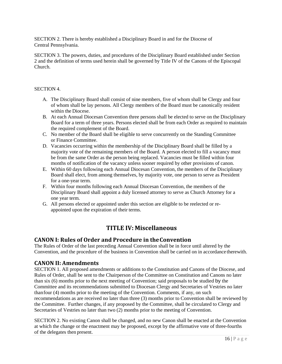SECTION 2. There is hereby established a Disciplinary Board in and for the Diocese of Central Pennsylvania.

SECTION 3. The powers, duties, and procedures of the Disciplinary Board established under Section 2 and the definition of terms used herein shall be governed by Title IV of the Canons of the Episcopal Church.

#### SECTION 4.

- A. The Disciplinary Board shall consist of nine members, five of whom shall be Clergy and four of whom shall be lay persons. All Clergy members of the Board must be canonically resident within the Diocese.
- B. At each Annual Diocesan Convention three persons shall be elected to serve on the Disciplinary Board for a term of three years. Persons elected shall be from each Order as required to maintain the required complement of the Board.
- C. No member of the Board shall be eligible to serve concurrently on the Standing Committee or Finance Committee.
- D. Vacancies occurring within the membership of the Disciplinary Board shall be filled by a majority vote of the remaining members of the Board*.* A person elected to fill a vacancy must be from the same Order as the person being replaced. Vacancies must be filled within four months of notification of the vacancy unless sooner required by other provisions of canon.
- E. Within 60 days following each Annual Diocesan Convention, the members of the Disciplinary Board shall elect, from among themselves, by majority vote, one person to serve as President for a one-year term.
- F. Within four months following each Annual Diocesan Convention, the members of the Disciplinary Board shall appoint a duly licensed attorney to serve as Church Attorney for a one year term.
- G. All persons elected or appointed under this section are eligible to be reelected or reappointed upon the expiration of their terms.

# **TITLE IV: Miscellaneous**

## <span id="page-18-1"></span><span id="page-18-0"></span>**CANON I: Rules of Order and Procedure in theConvention**

The Rules of Order of the last preceding Annual Convention shall be in force until altered by the Convention, and the procedure of the business in Convention shall be carried on in accordance therewith.

## <span id="page-18-2"></span>**CANON II: Amendments**

SECTION 1. All proposed amendments or additions to the Constitution and Canons of the Diocese, and Rules of Order, shall be sent to the Chairperson of the Committee on Constitution and Canons no later than six (6) months prior to the next meeting of Convention; said proposals to be studied by the Committee and its recommendations submitted to Diocesan Clergy and Secretaries of Vestries no later thanfour (4) months prior to the meeting of the Convention. Comments, if any, on such recommendations as are received no later than three (3) months prior to Convention shall be reviewed by the Committee. Further changes, if any proposed by the Committee, shall be circulated to Clergy and Secretaries of Vestries no later than two (2) months prior to the meeting of Convention.

SECTION 2. No existing Canon shall be changed, and no new Canon shall be enacted at the Convention at which the change or the enactment may be proposed, except by the affirmative vote of three-fourths of the delegates then present.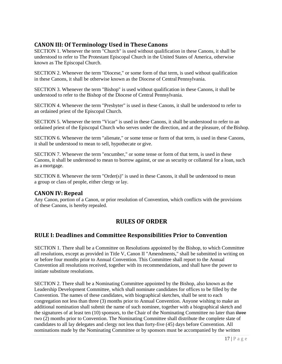# <span id="page-19-0"></span>**CANON III: Of Terminology Used in TheseCanons**

SECTION 1. Whenever the term "Church" is used without qualification in these Canons, it shall be understood to refer to The Protestant Episcopal Church in the United States of America, otherwise known as The Episcopal Church.

SECTION 2. Whenever the term "Diocese," or some form of that term, is used without qualification in these Canons, it shall be otherwise known as the Diocese of Central Pennsylvania.

SECTION 3. Whenever the term "Bishop" is used without qualification in these Canons, it shall be understood to refer to the Bishop of the Diocese of Central Pennsylvania.

SECTION 4. Whenever the term "Presbyter" is used in these Canons, it shall be understood to refer to an ordained priest of the Episcopal Church.

SECTION 5. Whenever the term "Vicar" is used in these Canons, it shall be understood to refer to an ordained priest of the Episcopal Church who serves under the direction, and at the pleasure, of theBishop.

SECTION 6. Whenever the term "alienate," or some tense or form of that term, is used in these Canons, it shall be understood to mean to sell, hypothecate or give.

SECTION 7. Whenever the term "encumber," or some tense or form of that term, is used in these Canons, it shall be understood to mean to borrow against, or use as security or collateral for a loan, such as a mortgage.

SECTION 8. Whenever the term "Order(s)" is used in these Canons, it shall be understood to mean a group or class of people, either clergy or lay.

# <span id="page-19-1"></span>**CANON IV: Repeal**

<span id="page-19-2"></span>Any Canon, portion of a Canon, or prior resolution of Convention, which conflicts with the provisions of these Canons, is hereby repealed.

# **RULES OF ORDER**

# <span id="page-19-3"></span>**RULE I: Deadlines and Committee Responsibilities Prior to Convention**

SECTION 1. There shall be a Committee on Resolutions appointed by the Bishop, to which Committee all resolutions, except as provided in Title V, Canon II "Amendments," shall be submitted in writing on or before four months prior to Annual Convention. This Committee shall report to the Annual Convention all resolutions received, together with its recommendations, and shall have the power to initiate substitute resolutions.

SECTION 2. There shall be a Nominating Committee appointed by the Bishop, also known as the Leadership Development Committee, which shall nominate candidates for offices to be filled by the Convention. The names of these candidates, with biographical sketches, shall be sent to each congregation not less than three (3) months prior to Annual Convention. Anyone wishing to make an additional nomination shall submit the name of such nominee, together with a biographical sketch and the signatures of at least ten (10) sponsors, to the Chair of the Nominating Committee no later than three two (2) months prior to Convention. The Nominating Committee shall distribute the complete slate of candidates to all lay delegates and clergy not less than forty-five (45) days before Convention. All nominations made by the Nominating Committee or by sponsors must be accompanied by the written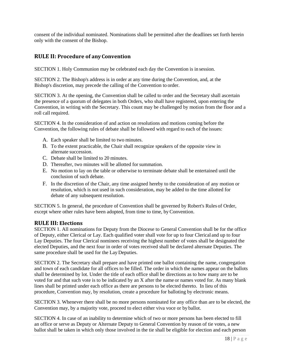consent of the individual nominated. Nominations shall be permitted after the deadlines set forth herein only with the consent of the Bishop.

## <span id="page-20-0"></span>**RULE II: Procedure of any Convention**

SECTION 1. Holy Communion may be celebrated each day the Convention is in session.

SECTION 2. The Bishop's address is in order at any time during the Convention, and, at the Bishop's discretion, may precede the calling of the Convention to order.

SECTION 3. At the opening, the Convention shall be called to order and the Secretary shall ascertain the presence of a quorum of delegates in both Orders, who shall have registered, upon entering the Convention, in writing with the Secretary. This count may be challenged by motion from the floor and a roll call required.

SECTION 4. In the consideration of and action on resolutions and motions coming before the Convention, the following rules of debate shall be followed with regard to each of the issues:

- A. Each speaker shall be limited to two minutes.
- B. To the extent practicable, the Chair shall recognize speakers of the opposite view in alternate succession.
- C. Debate shall be limited to 20 minutes.
- D. Thereafter, two minutes will be allotted for summation.
- E. No motion to lay on the table or otherwise to terminate debate shall be entertained until the conclusion of such debate.
- F. In the discretion of the Chair, any time assigned hereby to the consideration of any motion or resolution, which is not used in such consideration, may be added to the time allotted for debate of any subsequent resolution.

SECTION 5. In general, the procedure of Convention shall be governed by Robert's Rules of Order, except where other rules have been adopted, from time to time, byConvention.

## <span id="page-20-1"></span>**RULE III: Elections**

SECTION 1. All nominations for Deputy from the Diocese to General Convention shall be for the office of Deputy, either Clerical or Lay. Each qualified voter shall vote for up to four Clerical and up to four Lay Deputies. The four Clerical nominees receiving the highest number of votes shall be designated the elected Deputies, and the next four in order of votes received shall be declared alternate Deputies. The same procedure shall be used for the Lay Deputies.

SECTION 2. The Secretary shall prepare and have printed one ballot containing the name, congregation and town of each candidate for all offices to be filled. The order in which the names appear on the ballots shall be determined by lot. Under the title of each office shall be directions as to how many are to be voted for and that such vote is to be indicated by an X after the name or names voted for. As many blank lines shall be printed under each office as there are persons to be elected thereto. In lieu of this procedure, Convention may, by resolution, create a procedure for balloting by electronic means.

SECTION 3. Whenever there shall be no more persons nominated for any office than are to be elected, the Convention may, by a majority vote, proceed to elect either viva voce or by ballot.

SECTION 4. In case of an inability to determine which of two or more persons has been elected to fill an office or serve as Deputy or Alternate Deputy to General Convention by reason of tie votes, a new ballot shall be taken in which only those involved in the tie shall be eligible for election and each person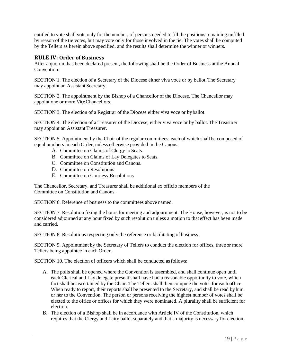entitled to vote shall vote only for the number, of persons needed to fill the positions remaining unfilled by reason of the tie votes, but may vote only for those involved in the tie. The votes shall be computed by the Tellers as herein above specified, and the results shall determine the winner or winners.

## <span id="page-21-0"></span>**RULE IV: Order of Business**

After a quorum has been declared present, the following shall be the Order of Business at the Annual Convention:

SECTION 1. The election of a Secretary of the Diocese either viva voce or by ballot.The Secretary may appoint an Assistant Secretary.

SECTION 2. The appointment by the Bishop of a Chancellor of the Diocese. The Chancellor may appoint one or more Vice Chancellors.

SECTION 3. The election of a Registrar of the Diocese either viva voce or by ballot.

SECTION 4. The election of a Treasurer of the Diocese*,* either viva voce or by ballot.The Treasurer may appoint an Assistant Treasurer.

SECTION 5. Appointment by the Chair of the regular committees, each of which shall be composed of equal numbers in each Order, unless otherwise provided in the Canons:

- A. Committee on Claims of Clergy to Seats.
- B. Committee on Claims of Lay Delegates to Seats.
- C. Committee on Constitution and Canons.
- D. Committee on Resolutions
- E. Committee on Courtesy Resolutions

The Chancellor, Secretary, and Treasurer shall be additional ex officio members of the Committee on Constitution and Canons.

SECTION 6. Reference of business to the committees above named.

SECTION 7. Resolution fixing the hours for meeting and adjournment. The House, however, is not to be considered adjourned at any hour fixed by such resolution unless a motion to that effect has been made and carried.

SECTION 8. Resolutions respecting only the reference or facilitating of business.

SECTION 9. Appointment by the Secretary of Tellers to conduct the election for offices, three or more Tellers being appointee in each Order.

SECTION 10. The election of officers which shall be conducted asfollows:

- A. The polls shall be opened where the Convention is assembled, and shall continue open until each Clerical and Lay delegate present shall have had a reasonable opportunity to vote, which fact shall be ascertained by the Chair. The Tellers shall then compute the votes for each office. When ready to report, their reports shall be presented to the Secretary, and shall be read by him or her to the Convention. The person or persons receiving the highest number of votes shall be elected to the office or offices for which they were nominated. A plurality shall be sufficient for election.
- B. The election of a Bishop shall be in accordance with Article IV of the Constitution, which requires that the Clergy and Laity ballot separately and that a majority is necessary for election.